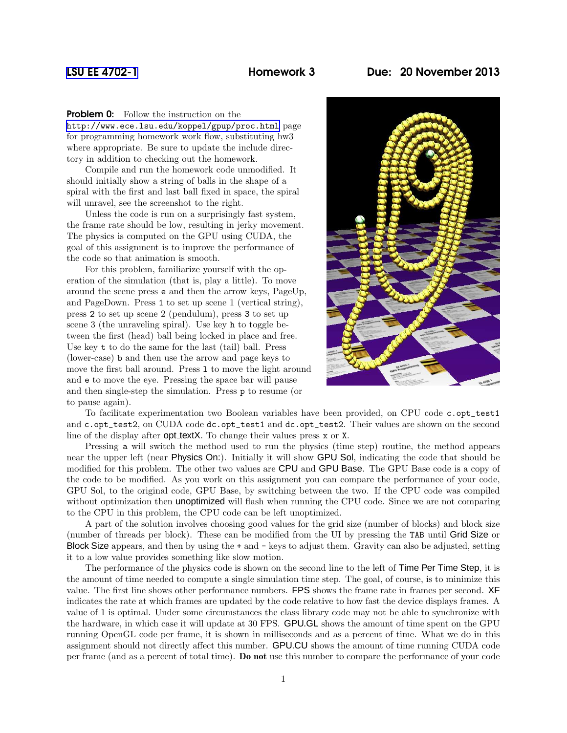**Problem 0:** Follow the instruction on the

<http://www.ece.lsu.edu/koppel/gpup/proc.html> page for programming homework work flow, substituting hw3 where appropriate. Be sure to update the include directory in addition to checking out the homework.

Compile and run the homework code unmodified. It should initially show a string of balls in the shape of a spiral with the first and last ball fixed in space, the spiral will unravel, see the screenshot to the right.

Unless the code is run on a surprisingly fast system, the frame rate should be low, resulting in jerky movement. The physics is computed on the GPU using CUDA, the goal of this assignment is to improve the performance of the code so that animation is smooth.

For this problem, familiarize yourself with the operation of the simulation (that is, play a little). To move around the scene press e and then the arrow keys, PageUp, and PageDown. Press 1 to set up scene 1 (vertical string), press 2 to set up scene 2 (pendulum), press 3 to set up scene 3 (the unraveling spiral). Use key h to toggle between the first (head) ball being locked in place and free. Use key t to do the same for the last (tail) ball. Press (lower-case) b and then use the arrow and page keys to move the first ball around. Press 1 to move the light around and e to move the eye. Pressing the space bar will pause and then single-step the simulation. Press p to resume (or to pause again).



To facilitate experimentation two Boolean variables have been provided, on CPU code c.opt\_test1 and c.opt\_test2, on CUDA code dc.opt\_test1 and dc.opt\_test2. Their values are shown on the second line of the display after opt textX. To change their values press x or X.

Pressing a will switch the method used to run the physics (time step) routine, the method appears near the upper left (near Physics On:). Initially it will show GPU Sol, indicating the code that should be modified for this problem. The other two values are CPU and GPU Base. The GPU Base code is a copy of the code to be modified. As you work on this assignment you can compare the performance of your code, GPU Sol, to the original code, GPU Base, by switching between the two. If the CPU code was compiled without optimization then **unoptimized** will flash when running the CPU code. Since we are not comparing to the CPU in this problem, the CPU code can be left unoptimized.

A part of the solution involves choosing good values for the grid size (number of blocks) and block size (number of threads per block). These can be modified from the UI by pressing the TAB until Grid Size or Block Size appears, and then by using the + and - keys to adjust them. Gravity can also be adjusted, setting it to a low value provides something like slow motion.

The performance of the physics code is shown on the second line to the left of **Time Per Time Step**, it is the amount of time needed to compute a single simulation time step. The goal, of course, is to minimize this value. The first line shows other performance numbers. FPS shows the frame rate in frames per second. XF indicates the rate at which frames are updated by the code relative to how fast the device displays frames. A value of 1 is optimal. Under some circumstances the class library code may not be able to synchronize with the hardware, in which case it will update at 30 FPS. GPU.GL shows the amount of time spent on the GPU running OpenGL code per frame, it is shown in milliseconds and as a percent of time. What we do in this assignment should not directly affect this number. GPU.CU shows the amount of time running CUDA code per frame (and as a percent of total time). Do not use this number to compare the performance of your code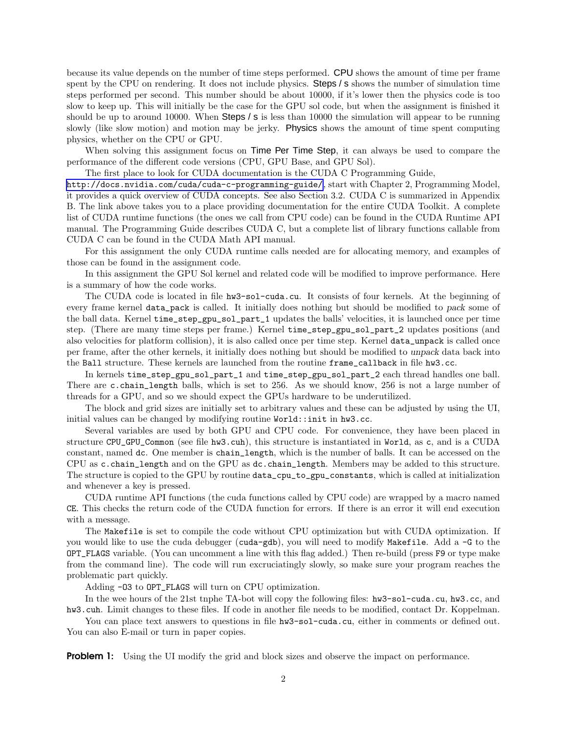because its value depends on the number of time steps performed. CPU shows the amount of time per frame spent by the CPU on rendering. It does not include physics. Steps / s shows the number of simulation time steps performed per second. This number should be about 10000, if it's lower then the physics code is too slow to keep up. This will initially be the case for the GPU sol code, but when the assignment is finished it should be up to around 10000. When Steps / s is less than 10000 the simulation will appear to be running slowly (like slow motion) and motion may be jerky. Physics shows the amount of time spent computing physics, whether on the CPU or GPU.

When solving this assignment focus on **Time Per Time Step**, it can always be used to compare the performance of the different code versions (CPU, GPU Base, and GPU Sol).

The first place to look for CUDA documentation is the CUDA C Programming Guide,

<http://docs.nvidia.com/cuda/cuda-c-programming-guide/>, start with Chapter 2, Programming Model, it provides a quick overview of CUDA concepts. See also Section 3.2. CUDA C is summarized in Appendix B. The link above takes you to a place providing documentation for the entire CUDA Toolkit. A complete list of CUDA runtime functions (the ones we call from CPU code) can be found in the CUDA Runtime API manual. The Programming Guide describes CUDA C, but a complete list of library functions callable from CUDA C can be found in the CUDA Math API manual.

For this assignment the only CUDA runtime calls needed are for allocating memory, and examples of those can be found in the assignment code.

In this assignment the GPU Sol kernel and related code will be modified to improve performance. Here is a summary of how the code works.

The CUDA code is located in file hw3-sol-cuda.cu. It consists of four kernels. At the beginning of every frame kernel data\_pack is called. It initially does nothing but should be modified to pack some of the ball data. Kernel time\_step\_gpu\_sol\_part\_1 updates the balls' velocities, it is launched once per time step. (There are many time steps per frame.) Kernel time\_step\_gpu\_sol\_part\_2 updates positions (and also velocities for platform collision), it is also called once per time step. Kernel data\_unpack is called once per frame, after the other kernels, it initially does nothing but should be modified to unpack data back into the Ball structure. These kernels are launched from the routine frame\_callback in file hw3.cc.

In kernels time\_step\_gpu\_sol\_part\_1 and time\_step\_gpu\_sol\_part\_2 each thread handles one ball. There are c.chain\_length balls, which is set to 256. As we should know, 256 is not a large number of threads for a GPU, and so we should expect the GPUs hardware to be underutilized.

The block and grid sizes are initially set to arbitrary values and these can be adjusted by using the UI, initial values can be changed by modifying routine World::init in hw3.cc.

Several variables are used by both GPU and CPU code. For convenience, they have been placed in structure CPU\_GPU\_Common (see file hw3.cuh), this structure is instantiated in World, as c, and is a CUDA constant, named dc. One member is chain\_length, which is the number of balls. It can be accessed on the CPU as c.chain\_length and on the GPU as dc.chain\_length. Members may be added to this structure. The structure is copied to the GPU by routine data\_cpu\_to\_gpu\_constants, which is called at initialization and whenever a key is pressed.

CUDA runtime API functions (the cuda functions called by CPU code) are wrapped by a macro named CE. This checks the return code of the CUDA function for errors. If there is an error it will end execution with a message.

The Makefile is set to compile the code without CPU optimization but with CUDA optimization. If you would like to use the cuda debugger (cuda-gdb), you will need to modify Makefile. Add a -G to the OPT\_FLAGS variable. (You can uncomment a line with this flag added.) Then re-build (press F9 or type make from the command line). The code will run excruciatingly slowly, so make sure your program reaches the problematic part quickly.

Adding -O3 to OPT\_FLAGS will turn on CPU optimization.

In the wee hours of the 21st tnphe TA-bot will copy the following files: hw3-sol-cuda.cu, hw3.cc, and hw3.cuh. Limit changes to these files. If code in another file needs to be modified, contact Dr. Koppelman.

You can place text answers to questions in file  $hwd=sol-cuda.cu$ , either in comments or defined out. You can also E-mail or turn in paper copies.

**Problem 1:** Using the UI modify the grid and block sizes and observe the impact on performance.